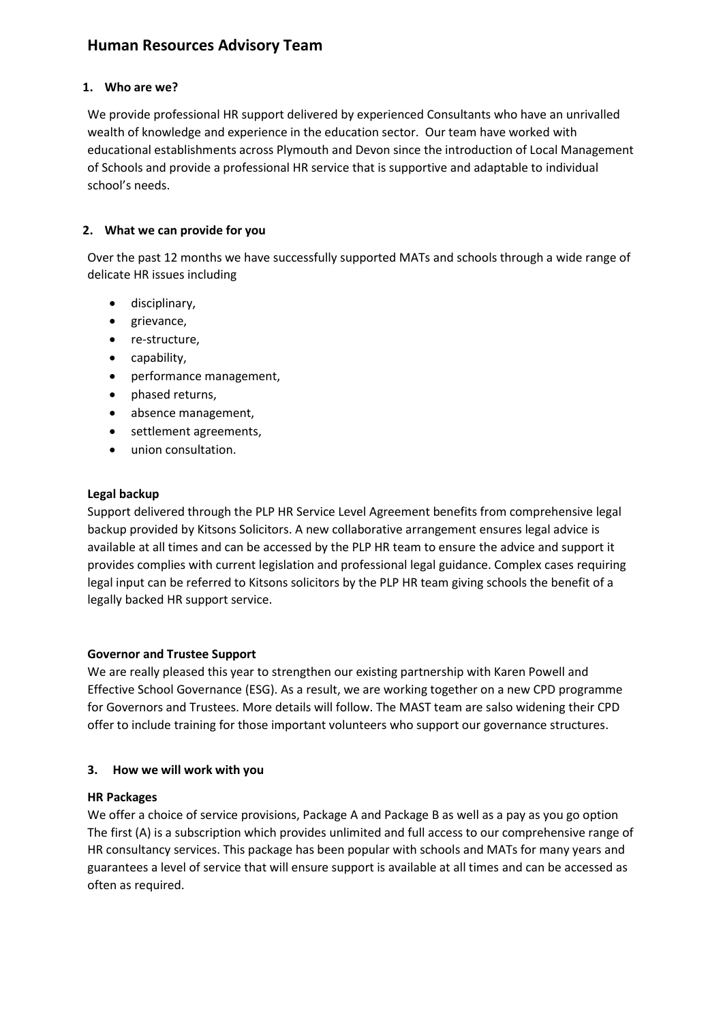# **Human Resources Advisory Team**

# **1. Who are we?**

We provide professional HR support delivered by experienced Consultants who have an unrivalled wealth of knowledge and experience in the education sector. Our team have worked with educational establishments across Plymouth and Devon since the introduction of Local Management of Schools and provide a professional HR service that is supportive and adaptable to individual school's needs.

#### **2. What we can provide for you**

Over the past 12 months we have successfully supported MATs and schools through a wide range of delicate HR issues including

- disciplinary,
- grievance,
- re-structure,
- capability,
- performance management,
- phased returns,
- absence management,
- settlement agreements,
- union consultation.

#### **Legal backup**

Support delivered through the PLP HR Service Level Agreement benefits from comprehensive legal backup provided by Kitsons Solicitors. A new collaborative arrangement ensures legal advice is available at all times and can be accessed by the PLP HR team to ensure the advice and support it provides complies with current legislation and professional legal guidance. Complex cases requiring legal input can be referred to Kitsons solicitors by the PLP HR team giving schools the benefit of a legally backed HR support service.

# **Governor and Trustee Support**

We are really pleased this year to strengthen our existing partnership with Karen Powell and Effective School Governance (ESG). As a result, we are working together on a new CPD programme for Governors and Trustees. More details will follow. The MAST team are salso widening their CPD offer to include training for those important volunteers who support our governance structures.

# **3. How we will work with you**

#### **HR Packages**

We offer a choice of service provisions, Package A and Package B as well as a pay as you go option The first (A) is a subscription which provides unlimited and full access to our comprehensive range of HR consultancy services. This package has been popular with schools and MATs for many years and guarantees a level of service that will ensure support is available at all times and can be accessed as often as required.